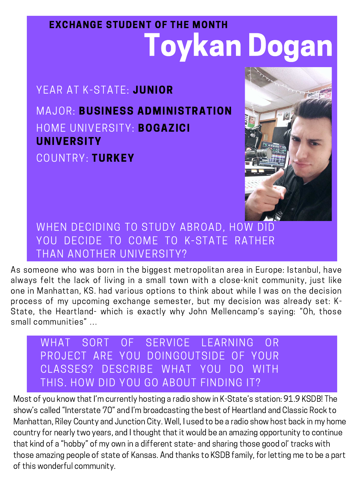# Toykan Dogan EXCHANGE STUDENT OF THE MONTH

As someone who was born in the biggest metropolitan area in Europe: Istanbul, have always felt the lack of living in a small town with a close-knit community, just like one in Manhattan, KS. had various options to think about while I was on the decision process of my upcoming exchange semester, but my decision was already set: K-State, the Heartland- which is exactly why John Mellencamp's saving: "Oh, those small communities " …

WHEN DECIDING TO STUDY ABROAD, HOW DID DECIDE TO COME TO K-STATE RATHER



## YEAR AT K-STATE: JUNIOR MAJOR: BUSINESS ADMINISTRATION COUNTRY: TURKEY HOME UNIVERSITY: BOGAZICI UNIVERSITY

#### THAN ANOTHER UNIVERSITY?

### WHAT SORT OF SERVICE LEARNING OR PROJECT ARE YOU DOINGOUTSIDE OF YOUR CLASSES? DESCRIBE WHAT YOU DO WITH THIS. HOW DID YOU GO ABOUT FINDING IT?

Most of you know that I' m currently hosting a radio show in K-State ' s station: 91.9 KSDB! The show ' s called "Interstate 70" and I' m broadcasting the best of Heartland and Classic Rock to Manhattan, Riley County and Junction City. Well, I used to be a radio show host back in my home country for nearly two years, and I thought that it would be an amazing opportunity to continue that kind of a "hobby " of my own in a different state- and sharing those good ol' tracks with those amazing people of state of Kansas. And thanks to KSDB family, for letting me to be a part of this wonderful community.